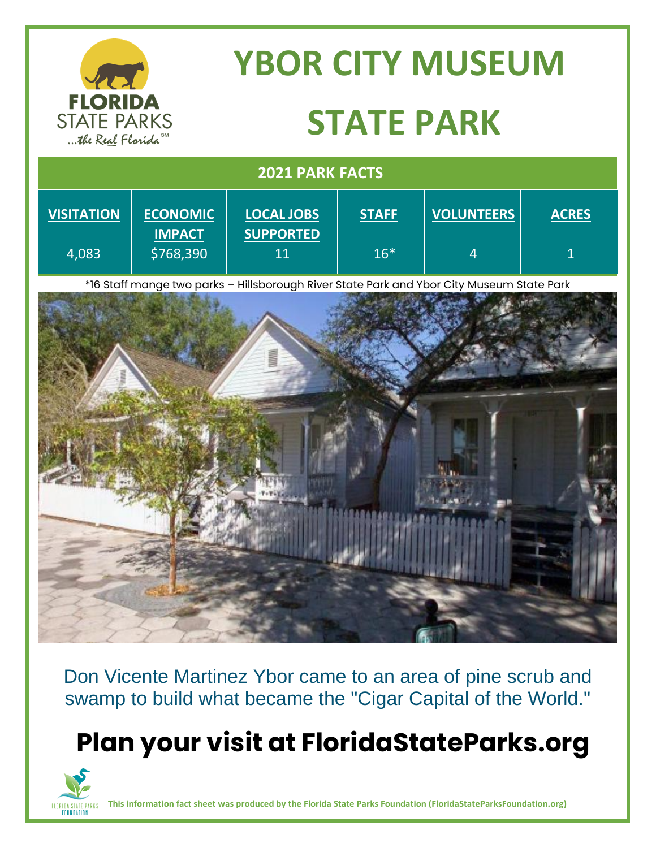|                                                             | <b>YBOR CITY MUSEUM</b> |  |  |  |  |
|-------------------------------------------------------------|-------------------------|--|--|--|--|
| <b>FLORIDA</b><br><b>STATE PARKS</b><br>the Real Florida SM | <b>STATE PARK</b>       |  |  |  |  |
| <b>2021 PARK FACTS</b>                                      |                         |  |  |  |  |

| <b>VISITATION</b> | <b>ECONOMIC</b> | <b>LOCAL JOBS</b> | <b>STAFF</b> | <b>VOLUNTEERS</b> | <b>ACRES</b> |
|-------------------|-----------------|-------------------|--------------|-------------------|--------------|
|                   | <b>IMPACT</b>   | <b>SUPPORTED</b>  |              |                   |              |
| 4,083             | \$768,390       | 11                | $16*$        | 4                 |              |
|                   |                 |                   |              |                   |              |

\*16 Staff mange two parks – Hillsborough River State Park and Ybor City Museum State Park



Don Vicente Martinez Ybor came to an area of pine scrub and swamp to build what became the "Cigar Capital of the World."

## **Plan your visit at FloridaStateParks.org**



**This information fact sheet was produced by the Florida State Parks Foundation (FloridaStateParksFoundation.org)**